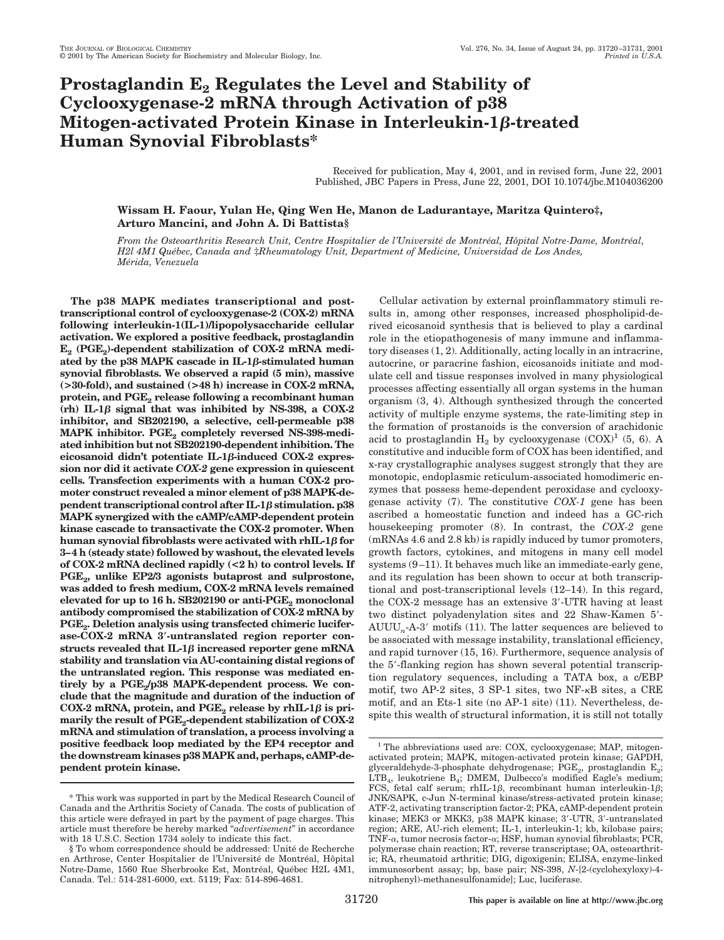# **Prostaglandin E<sub>2</sub> Regulates the Level and Stability of Cyclooxygenase-2 mRNA through Activation of p38 Mitogen-activated Protein Kinase in Interleukin-1β-treated Human Synovial Fibroblasts\***

Received for publication, May 4, 2001, and in revised form, June 22, 2001 Published, JBC Papers in Press, June 22, 2001, DOI 10.1074/jbc.M104036200

# **Wissam H. Faour, Yulan He, Qing Wen He, Manon de Ladurantaye, Maritza Quintero‡, Arturo Mancini, and John A. Di Battista§**

From the Osteoarthritis Research Unit, Centre Hospitalier de l'Université de Montréal, Hôpital Notre-Dame, Montréal, *H2l 4M1 Que´bec, Canada and* ‡*Rheumatology Unit, Department of Medicine, Universidad de Los Andes, Me´rida, Venezuela*

**The p38 MAPK mediates transcriptional and posttranscriptional control of cyclooxygenase-2 (COX-2) mRNA following interleukin-1(IL-1)/lipopolysaccharide cellular activation. We explored a positive feedback, prostaglandin**  $E_2$  (PGE<sub>2</sub>)-dependent stabilization of COX-2 mRNA mediated by the  $p38$  MAPK cascade in IL-1 $\beta$ -stimulated human **synovial fibroblasts. We observed a rapid (5 min), massive (>30-fold), and sustained (>48 h) increase in COX-2 mRNA,** protein, and PGE<sub>2</sub> release following a recombinant human  $(rh)$  IL-1 $\beta$  signal that was inhibited by NS-398, a COX-2 **inhibitor, and SB202190, a selective, cell-permeable p38** MAPK inhibitor. PGE<sub>2</sub> completely reversed NS-398-medi**ated inhibition but not SB202190-dependent inhibition. The eicosanoid didn't potentiate IL-1-induced COX-2 expression nor did it activate** *COX-2* **gene expression in quiescent cells. Transfection experiments with a human COX-2 promoter construct revealed a minor element of p38 MAPK-dependent transcriptional control after IL-1** $\beta$  **stimulation. p38 MAPK synergized with the cAMP/cAMP-dependent protein kinase cascade to transactivate the COX-2 promoter. When human synovial fibroblasts were activated with rhIL-1** $\beta$  **for 3–4 h (steady state) followed by washout, the elevated levels of COX-2 mRNA declined rapidly (<2 h) to control levels. If** PGE<sub>2</sub>, unlike EP2/3 agonists butaprost and sulprostone, **was added to fresh medium, COX-2 mRNA levels remained elevated for up to 16 h. SB202190 or anti-PGE<sub>2</sub> monoclonal antibody compromised the stabilization of COX-2 mRNA by** PGE<sub>2</sub>. Deletion analysis using transfected chimeric lucifer**ase-COX-2 mRNA 3-untranslated region reporter con**structs revealed that  $IL-1\beta$  increased reporter gene mRNA **stability and translation via AU-containing distal regions of the untranslated region. This response was mediated en**tirely by a PGE<sub>2</sub>/p38 MAPK-dependent process. We con**clude that the magnitude and duration of the induction of**  $COX-2$  mRNA, protein, and  $PGE_2$  release by rhIL-1 $\beta$  is primarily the result of PGE<sub>2</sub>-dependent stabilization of COX-2 **mRNA and stimulation of translation, a process involving a positive feedback loop mediated by the EP4 receptor and the downstream kinases p38 MAPK and, perhaps, cAMP-dependent protein kinase.**

Cellular activation by external proinflammatory stimuli results in, among other responses, increased phospholipid-derived eicosanoid synthesis that is believed to play a cardinal role in the etiopathogenesis of many immune and inflammatory diseases (1, 2). Additionally, acting locally in an intracrine, autocrine, or paracrine fashion, eicosanoids initiate and modulate cell and tissue responses involved in many physiological processes affecting essentially all organ systems in the human organism (3, 4). Although synthesized through the concerted activity of multiple enzyme systems, the rate-limiting step in the formation of prostanoids is the conversion of arachidonic acid to prostaglandin  $H_2$  by cyclooxygenase  $(COX)^1$  (5, 6). A constitutive and inducible form of COX has been identified, and x-ray crystallographic analyses suggest strongly that they are monotopic, endoplasmic reticulum-associated homodimeric enzymes that possess heme-dependent peroxidase and cyclooxygenase activity (7). The constitutive *COX-1* gene has been ascribed a homeostatic function and indeed has a GC-rich housekeeping promoter (8). In contrast, the *COX-2* gene (mRNAs 4.6 and 2.8 kb) is rapidly induced by tumor promoters, growth factors, cytokines, and mitogens in many cell model systems (9–11). It behaves much like an immediate-early gene, and its regulation has been shown to occur at both transcriptional and post-transcriptional levels (12–14). In this regard, the COX-2 message has an extensive 3-UTR having at least two distinct polyadenylation sites and 22 Shaw-Kamen 5- AUUU*n*-A-3 motifs (11). The latter sequences are believed to be associated with message instability, translational efficiency, and rapid turnover (15, 16). Furthermore, sequence analysis of the 5'-flanking region has shown several potential transcription regulatory sequences, including a TATA box, a c/EBP motif, two AP-2 sites,  $3$  SP-1 sites, two NF- $\kappa$ B sites, a CRE motif, and an Ets-1 site (no AP-1 site) (11). Nevertheless, despite this wealth of structural information, it is still not totally

<sup>\*</sup> This work was supported in part by the Medical Research Council of Canada and the Arthritis Society of Canada. The costs of publication of this article were defrayed in part by the payment of page charges. This article must therefore be hereby marked "*advertisement*" in accordance with 18 U.S.C. Section 1734 solely to indicate this fact.

<sup>§</sup> To whom correspondence should be addressed: Unité de Recherche en Arthrose, Center Hospitalier de l'Université de Montréal, Hôpital Notre-Dame, 1560 Rue Sherbrooke Est, Montréal, Québec H2L 4M1, Canada. Tel.: 514-281-6000, ext. 5119; Fax: 514-896-4681.

<sup>&</sup>lt;sup>1</sup> The abbreviations used are: COX, cyclooxygenase; MAP, mitogenactivated protein; MAPK, mitogen-activated protein kinase; GAPDH, glyceraldehyde-3-phosphate dehydrogenase; PGE<sub>2</sub>, prostaglandin E<sub>2</sub>;  $\text{LTB}_4$ , leukotriene B<sub>4</sub>; DMEM, Dulbecco's modified Eagle's medium; FCS, fetal calf serum; rhIL-1 $\beta$ , recombinant human interleukin-1 $\beta$ ; JNK/SAPK, c-Jun N-terminal kinase/stress-activated protein kinase; ATF-2, activating transcription factor-2; PKA, cAMP-dependent protein kinase; MEK3 or MKK3, p38 MAPK kinase; 3'-UTR, 3'-untranslated region; ARE, AU-rich element; IL-1, interleukin-1; kb, kilobase pairs; TNF- $\alpha$ , tumor necrosis factor- $\alpha$ ; HSF, human synovial fibroblasts; PCR, polymerase chain reaction; RT, reverse transcriptase; OA, osteoarthritic; RA, rheumatoid arthritic; DIG, digoxigenin; ELISA, enzyme-linked immunosorbent assay; bp, base pair; NS-398, *N*-[2-(cyclohexyloxy)-4 nitrophenyl)-methanesulfonamide]; Luc, luciferase.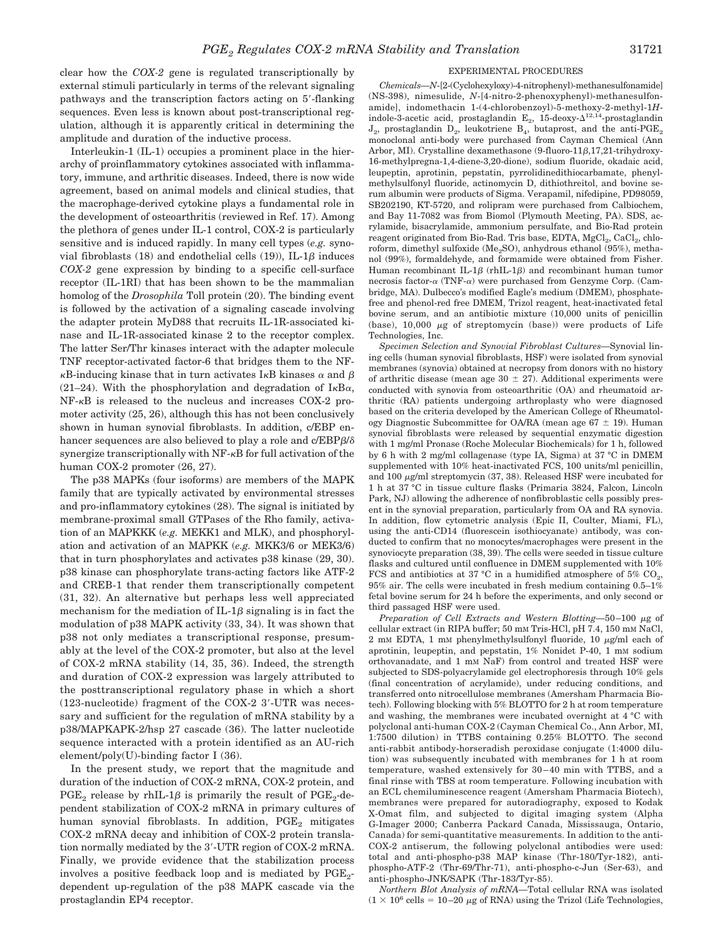clear how the *COX-2* gene is regulated transcriptionally by external stimuli particularly in terms of the relevant signaling pathways and the transcription factors acting on 5'-flanking sequences. Even less is known about post-transcriptional regulation, although it is apparently critical in determining the amplitude and duration of the inductive process.

Interleukin-1 (IL-1) occupies a prominent place in the hierarchy of proinflammatory cytokines associated with inflammatory, immune, and arthritic diseases. Indeed, there is now wide agreement, based on animal models and clinical studies, that the macrophage-derived cytokine plays a fundamental role in the development of osteoarthritis (reviewed in Ref. 17). Among the plethora of genes under IL-1 control, COX-2 is particularly sensitive and is induced rapidly. In many cell types (*e.g.* synovial fibroblasts  $(18)$  and endothelial cells  $(19)$ ), IL-1 $\beta$  induces *COX-2* gene expression by binding to a specific cell-surface receptor (IL-1RI) that has been shown to be the mammalian homolog of the *Drosophila* Toll protein (20). The binding event is followed by the activation of a signaling cascade involving the adapter protein MyD88 that recruits IL-1R-associated kinase and IL-1R-associated kinase 2 to the receptor complex. The latter Ser/Thr kinases interact with the adapter molecule TNF receptor-activated factor-6 that bridges them to the NF-  $\kappa$ B-inducing kinase that in turn activates I $\kappa$ B kinases  $\alpha$  and  $\beta$ (21–24). With the phosphorylation and degradation of  $I_{\kappa}B_{\alpha}$ ,  $NF-\kappa B$  is released to the nucleus and increases COX-2 promoter activity (25, 26), although this has not been conclusively shown in human synovial fibroblasts. In addition, c/EBP enhancer sequences are also believed to play a role and c/EBP $\beta$ / $\delta$ synergize transcriptionally with  $NF-<sub>k</sub>B$  for full activation of the human COX-2 promoter (26, 27).

The p38 MAPKs (four isoforms) are members of the MAPK family that are typically activated by environmental stresses and pro-inflammatory cytokines (28). The signal is initiated by membrane-proximal small GTPases of the Rho family, activation of an MAPKKK (*e.g.* MEKK1 and MLK), and phosphorylation and activation of an MAPKK (*e.g.* MKK3/6 or MEK3/6) that in turn phosphorylates and activates p38 kinase (29, 30). p38 kinase can phosphorylate trans-acting factors like ATF-2 and CREB-1 that render them transcriptionally competent (31, 32). An alternative but perhaps less well appreciated mechanism for the mediation of  $IL-1\beta$  signaling is in fact the modulation of p38 MAPK activity (33, 34). It was shown that p38 not only mediates a transcriptional response, presumably at the level of the COX-2 promoter, but also at the level of COX-2 mRNA stability (14, 35, 36). Indeed, the strength and duration of COX-2 expression was largely attributed to the posttranscriptional regulatory phase in which a short (123-nucleotide) fragment of the COX-2 3-UTR was necessary and sufficient for the regulation of mRNA stability by a p38/MAPKAPK-2/hsp 27 cascade (36). The latter nucleotide sequence interacted with a protein identified as an AU-rich element/poly(U)-binding factor I (36).

In the present study, we report that the magnitude and duration of the induction of COX-2 mRNA, COX-2 protein, and  $\mathrm{PGE}_2$  release by rhIL-1 $\beta$  is primarily the result of  $\mathrm{PGE}_2\text{-de-}$ pendent stabilization of COX-2 mRNA in primary cultures of human synovial fibroblasts. In addition,  $PGE_2$  mitigates COX-2 mRNA decay and inhibition of COX-2 protein translation normally mediated by the 3-UTR region of COX-2 mRNA. Finally, we provide evidence that the stabilization process involves a positive feedback loop and is mediated by  $PGE_2$ dependent up-regulation of the p38 MAPK cascade via the prostaglandin EP4 receptor.

#### EXPERIMENTAL PROCEDURES

*Chemicals—N*-[2-(Cyclohexyloxy)-4-nitrophenyl)-methanesulfonamide] (NS-398), nimesulide, *N*-[4-nitro-2-phenoxyphenyl)-methanesulfonamide], indomethacin 1-(4-chlorobenzoyl)-5-methoxy-2-methyl-1*H*indole-3-acetic acid, prostaglandin  $\mathbf{E}_2$ , 15-deoxy- $\Delta^{12,14}$ -prostaglandin  $J_2$ , prostaglandin  $D_2$ , leukotriene  $B_4$ , butaprost, and the anti-PGE<sub>2</sub> monoclonal anti-body were purchased from Cayman Chemical (Ann Arbor, MI). Crystalline dexamethasone (9-fluoro-11 $\beta$ ,17,21-trihydroxy-16-methylpregna-1,4-diene-3,20-dione), sodium fluoride, okadaic acid, leupeptin, aprotinin, pepstatin, pyrrolidinedithiocarbamate, phenylmethylsulfonyl fluoride, actinomycin D, dithiothreitol, and bovine serum albumin were products of Sigma. Verapamil, nifedipine, PD98059, SB202190, KT-5720, and rolipram were purchased from Calbiochem, and Bay 11-7082 was from Biomol (Plymouth Meeting, PA). SDS, acrylamide, bisacrylamide, ammonium persulfate, and Bio-Rad protein reagent originated from Bio-Rad. Tris base, EDTA, MgCl<sub>2</sub>, CaCl<sub>2</sub>, chloroform, dimethyl sulfoxide ( $Me<sub>2</sub>SO$ ), anhydrous ethanol (95%), methanol (99%), formaldehyde, and formamide were obtained from Fisher. Human recombinant IL-1 $\beta$  (rhIL-1 $\beta$ ) and recombinant human tumor necrosis factor- $\alpha$  (TNF- $\alpha$ ) were purchased from Genzyme Corp. (Cambridge, MA). Dulbecco's modified Eagle's medium (DMEM), phosphatefree and phenol-red free DMEM, Trizol reagent, heat-inactivated fetal bovine serum, and an antibiotic mixture (10,000 units of penicillin (base),  $10,000 \mu g$  of streptomycin (base)) were products of Life Technologies, Inc.

*Specimen Selection and Synovial Fibroblast Cultures—*Synovial lining cells (human synovial fibroblasts, HSF) were isolated from synovial membranes (synovia) obtained at necropsy from donors with no history of arthritic disease (mean age  $30 \pm 27$ ). Additional experiments were conducted with synovia from osteoarthritic (OA) and rheumatoid arthritic (RA) patients undergoing arthroplasty who were diagnosed based on the criteria developed by the American College of Rheumatology Diagnostic Subcommittee for OA/RA (mean age  $67 \pm 19$ ). Human synovial fibroblasts were released by sequential enzymatic digestion with 1 mg/ml Pronase (Roche Molecular Biochemicals) for 1 h, followed by 6 h with 2 mg/ml collagenase (type IA, Sigma) at 37 °C in DMEM supplemented with 10% heat-inactivated FCS, 100 units/ml penicillin, and 100  $\mu$ g/ml streptomycin (37, 38). Released HSF were incubated for 1 h at 37 °C in tissue culture flasks (Primaria 3824, Falcon, Lincoln Park, NJ) allowing the adherence of nonfibroblastic cells possibly present in the synovial preparation, particularly from OA and RA synovia. In addition, flow cytometric analysis (Epic II, Coulter, Miami, FL), using the anti-CD14 (fluorescein isothiocyanate) antibody, was conducted to confirm that no monocytes/macrophages were present in the synoviocyte preparation (38, 39). The cells were seeded in tissue culture flasks and cultured until confluence in DMEM supplemented with 10% FCS and antibiotics at 37 °C in a humidified atmosphere of 5%  $CO<sub>2</sub>$ , 95% air. The cells were incubated in fresh medium containing 0.5–1% fetal bovine serum for 24 h before the experiments, and only second or third passaged HSF were used.

*Preparation of Cell Extracts and Western Blotting*-50-100 µg of cellular extract (in RIPA buffer; 50 mM Tris-HCl, pH 7.4, 150 mM NaCl, 2 mM EDTA, 1 mM phenylmethylsulfonyl fluoride, 10  $\mu$ g/ml each of aprotinin, leupeptin, and pepstatin, 1% Nonidet P-40, 1 mm sodium orthovanadate, and 1 mM NaF) from control and treated HSF were subjected to SDS-polyacrylamide gel electrophoresis through 10% gels (final concentration of acrylamide), under reducing conditions, and transferred onto nitrocellulose membranes (Amersham Pharmacia Biotech). Following blocking with 5% BLOTTO for 2 h at room temperature and washing, the membranes were incubated overnight at 4 °C with polyclonal anti-human COX-2 (Cayman Chemical Co., Ann Arbor, MI, 1:7500 dilution) in TTBS containing 0.25% BLOTTO. The second anti-rabbit antibody-horseradish peroxidase conjugate (1:4000 dilution) was subsequently incubated with membranes for 1 h at room temperature, washed extensively for 30–40 min with TTBS, and a final rinse with TBS at room temperature. Following incubation with an ECL chemiluminescence reagent (Amersham Pharmacia Biotech), membranes were prepared for autoradiography, exposed to Kodak X-Omat film, and subjected to digital imaging system (Alpha G-Imager 2000; Canberra Packard Canada, Mississauga, Ontario, Canada) for semi-quantitative measurements. In addition to the anti-COX-2 antiserum, the following polyclonal antibodies were used: total and anti-phospho-p38 MAP kinase (Thr-180/Tyr-182), antiphospho-ATF-2 (Thr-69/Thr-71), anti-phospho-c-Jun (Ser-63), and anti-phospho-JNK/SAPK (Thr-183/Tyr-85).

*Northern Blot Analysis of mRNA—*Total cellular RNA was isolated  $(1 \times 10^6 \text{ cells} = 10-20 \mu \text{g of RNA})$  using the Trizol (Life Technologies,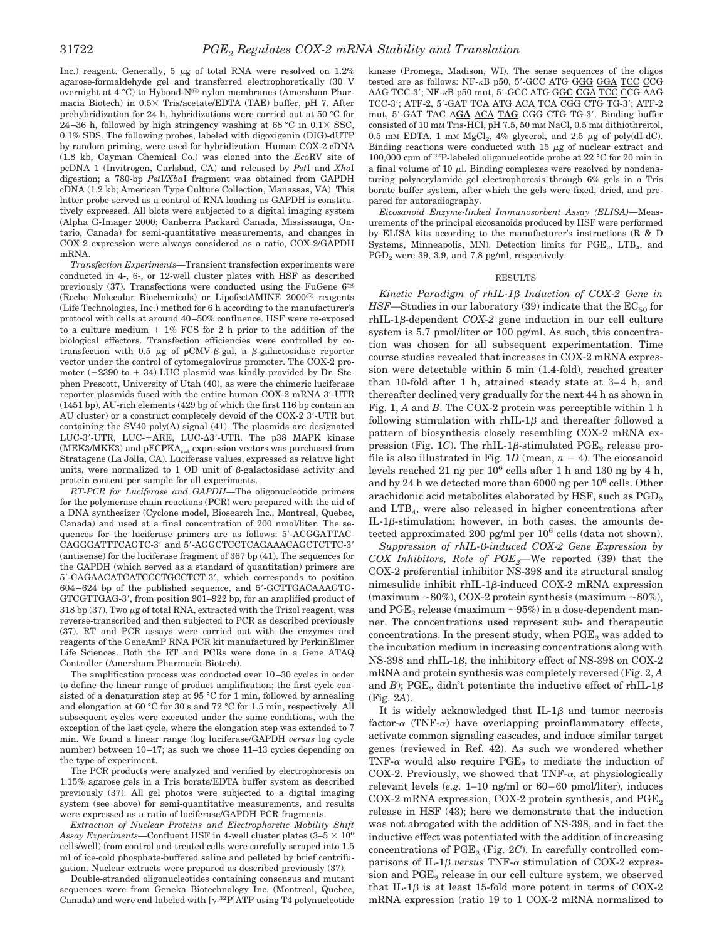Inc.) reagent. Generally, 5  $\mu$ g of total RNA were resolved on 1.2% agarose-formaldehyde gel and transferred electrophoretically (30 V overnight at 4 °C) to Hybond-N<sup>®</sup> nylon membranes (Amersham Pharmacia Biotech) in  $0.5 \times$  Tris/acetate/EDTA (TAE) buffer, pH 7. After prehybridization for 24 h, hybridizations were carried out at 50 °C for 24–36 h, followed by high stringency washing at 68 °C in  $0.1 \times$  SSC, 0.1% SDS. The following probes, labeled with digoxigenin (DIG)-dUTP by random priming, were used for hybridization. Human COX-2 cDNA (1.8 kb, Cayman Chemical Co.) was cloned into the *Eco*RV site of pcDNA 1 (Invitrogen, Carlsbad, CA) and released by *Pst*I and *Xho*I digestion; a 780-bp *Pst*I/*Xba*I fragment was obtained from GAPDH cDNA (1.2 kb; American Type Culture Collection, Manassas, VA). This latter probe served as a control of RNA loading as GAPDH is constitutively expressed. All blots were subjected to a digital imaging system (Alpha G-Imager 2000; Canberra Packard Canada, Mississauga, Ontario, Canada) for semi-quantitative measurements, and changes in COX-2 expression were always considered as a ratio, COX-2/GAPDH mRNA.

*Transfection Experiments—*Transient transfection experiments were conducted in 4-, 6-, or 12-well cluster plates with HSF as described previously  $(37)$ . Transfections were conducted using the FuGene  $6^{\circledR}$ (Roche Molecular Biochemicals) or LipofectAMINE 2000<sup>®</sup> reagents (Life Technologies, Inc.) method for 6 h according to the manufacturer's protocol with cells at around 40–50% confluence. HSF were re-exposed to a culture medium  $+1\%$  FCS for 2 h prior to the addition of the biological effectors. Transfection efficiencies were controlled by cotransfection with 0.5  $\mu$ g of pCMV- $\beta$ -gal, a  $\beta$ -galactosidase reporter vector under the control of cytomegalovirus promoter. The COX-2 promoter  $(-2390 \text{ to } + 34)$ -LUC plasmid was kindly provided by Dr. Stephen Prescott, University of Utah (40), as were the chimeric luciferase reporter plasmids fused with the entire human COX-2 mRNA 3-UTR (1451 bp), AU-rich elements (429 bp of which the first 116 bp contain an AU cluster) or a construct completely devoid of the COX-2 3-UTR but containing the SV40 poly(A) signal (41). The plasmids are designated LUC-3'-UTR, LUC-+ARE, LUC-∆3'-UTR. The p38 MAPK kinase (MEK3/MKK3) and  $\mathrm{pFCPKA}_{\mathrm{cat}}$  expression vectors was purchased from Stratagene (La Jolla, CA). Luciferase values, expressed as relative light units, were normalized to 1 OD unit of  $\beta$ -galactosidase activity and protein content per sample for all experiments.

*RT-PCR for Luciferase and GAPDH—*The oligonucleotide primers for the polymerase chain reactions (PCR) were prepared with the aid of a DNA synthesizer (Cyclone model, Biosearch Inc., Montreal, Quebec, Canada) and used at a final concentration of 200 nmol/liter. The sequences for the luciferase primers are as follows: 5-ACGGATTAC-CAGGGATTTCAGTC-3 and 5-AGGCTCCTCAGAAACAGCTCTTC-3 (antisense) for the luciferase fragment of 367 bp (41). The sequences for the GAPDH (which served as a standard of quantitation) primers are 5-CAGAACATCATCCCTGCCTCT-3, which corresponds to position 604–624 bp of the published sequence, and 5-GCTTGACAAAGTG-GTCGTTGAG-3, from position 901–922 bp, for an amplified product of 318 bp (37). Two  $\mu$ g of total RNA, extracted with the Trizol reagent, was reverse-transcribed and then subjected to PCR as described previously (37). RT and PCR assays were carried out with the enzymes and reagents of the GeneAmP RNA PCR kit manufactured by PerkinElmer Life Sciences. Both the RT and PCRs were done in a Gene ATAQ Controller (Amersham Pharmacia Biotech).

The amplification process was conducted over 10–30 cycles in order to define the linear range of product amplification; the first cycle consisted of a denaturation step at 95 °C for 1 min, followed by annealing and elongation at 60 °C for 30 s and 72 °C for 1.5 min, respectively. All subsequent cycles were executed under the same conditions, with the exception of the last cycle, where the elongation step was extended to 7 min. We found a linear range (log luciferase/GAPDH *versus* log cycle number) between 10–17; as such we chose 11–13 cycles depending on the type of experiment.

The PCR products were analyzed and verified by electrophoresis on 1.15% agarose gels in a Tris borate/EDTA buffer system as described previously (37). All gel photos were subjected to a digital imaging system (see above) for semi-quantitative measurements, and results were expressed as a ratio of luciferase/GAPDH PCR fragments.

*Extraction of Nuclear Proteins and Electrophoretic Mobility Shift Assay Experiments*—Confluent HSF in 4-well cluster plates  $(3-5 \times 10^6$ cells/well) from control and treated cells were carefully scraped into 1.5 ml of ice-cold phosphate-buffered saline and pelleted by brief centrifugation. Nuclear extracts were prepared as described previously (37).

Double-stranded oligonucleotides containing consensus and mutant sequences were from Geneka Biotechnology Inc. (Montreal, Quebec, Canada) and were end-labeled with  $[\gamma^{-32}P]ATP$  using T4 polynucleotide

kinase (Promega, Madison, WI). The sense sequences of the oligos tested are as follows: NF-KB p50, 5'-GCC ATG GGG GGA TCC CCG AAG TCC-3; NF-B p50 mut, 5-GCC ATG GG**C C**GA TCC CCG AAG TCC-3; ATF-2, 5-GAT TCA ATG ACA TCA CGG CTG TG-3; ATF-2 mut, 5-GAT TAC A**GA** ACA T**AG** CGG CTG TG-3. Binding buffer consisted of 10 mM Tris-HCl, pH 7.5, 50 mM NaCl, 0.5 mM dithiothreitol, 0.5 mM EDTA, 1 mM  $MgCl<sub>2</sub>$ , 4% glycerol, and 2.5  $\mu$ g of poly(dI-dC). Binding reactions were conducted with 15  $\mu$ g of nuclear extract and 100,000 cpm of 32P-labeled oligonucleotide probe at 22 °C for 20 min in a final volume of 10  $\mu$ l. Binding complexes were resolved by nondenaturing polyacrylamide gel electrophoresis through 6% gels in a Tris borate buffer system, after which the gels were fixed, dried, and prepared for autoradiography.

*Eicosanoid Enzyme-linked Immunosorbent Assay (ELISA)—*Measurements of the principal eicosanoids produced by HSF were performed by ELISA kits according to the manufacturer's instructions (R & D Systems, Minneapolis, MN). Detection limits for  $PGE_2$ ,  $LTB_4$ , and  $PGD<sub>2</sub>$  were 39, 3.9, and 7.8 pg/ml, respectively.

### RESULTS

 $Kinetic$  Paradigm of rhIL-1 $\beta$  Induction of COX-2 Gene in *HSF*—Studies in our laboratory (39) indicate that the  $EC_{50}$  for  $rh$ IL-1 $\beta$ -dependent *COX-2* gene induction in our cell culture system is 5.7 pmol/liter or 100 pg/ml. As such, this concentration was chosen for all subsequent experimentation. Time course studies revealed that increases in COX-2 mRNA expression were detectable within 5 min (1.4-fold), reached greater than 10-fold after 1 h, attained steady state at 3–4 h, and thereafter declined very gradually for the next 44 h as shown in Fig. 1, *A* and *B*. The COX-2 protein was perceptible within 1 h following stimulation with rhIL-1 $\beta$  and thereafter followed a pattern of biosynthesis closely resembling COX-2 mRNA expression (Fig. 1*C*). The rhIL-1 $\beta$ -stimulated PGE<sub>2</sub> release profile is also illustrated in Fig. 1D (mean,  $n = 4$ ). The eicosanoid levels reached 21 ng per  $10^6$  cells after 1 h and 130 ng by 4 h, and by 24 h we detected more than  $6000$  ng per  $10^6$  cells. Other arachidonic acid metabolites elaborated by HSF, such as  $PGD_2$ and LTB4, were also released in higher concentrations after IL-1 $\beta$ -stimulation; however, in both cases, the amounts detected approximated 200 pg/ml per  $10^6$  cells (data not shown).

*Suppression of rhIL-*-*-induced COX-2 Gene Expression by COX Inhibitors, Role of PGE2—*We reported (39) that the COX-2 preferential inhibitor NS-398 and its structural analog nimesulide inhibit rhIL-1 $\beta$ -induced COX-2 mRNA expression (maximum ~80%), COX-2 protein synthesis (maximum ~80%), and PGE<sub>2</sub> release (maximum  $\sim 95\%$ ) in a dose-dependent manner. The concentrations used represent sub- and therapeutic concentrations. In the present study, when PGE<sub>2</sub> was added to the incubation medium in increasing concentrations along with NS-398 and rhIL-1 $\beta$ , the inhibitory effect of NS-398 on COX-2 mRNA and protein synthesis was completely reversed (Fig. 2, *A* and *B*); PGE<sub>2</sub> didn't potentiate the inductive effect of rhIL-1 $\beta$ (Fig. 2*A*).

It is widely acknowledged that IL-1 $\beta$  and tumor necrosis factor- $\alpha$  (TNF- $\alpha$ ) have overlapping proinflammatory effects, activate common signaling cascades, and induce similar target genes (reviewed in Ref. 42). As such we wondered whether TNF- $\alpha$  would also require PGE<sub>2</sub> to mediate the induction of COX-2. Previously, we showed that TNF- $\alpha$ , at physiologically relevant levels (*e.g.* 1–10 ng/ml or 60–60 pmol/liter), induces  $COX-2$  mRNA expression,  $COX-2$  protein synthesis, and  $PGE<sub>2</sub>$ release in HSF (43); here we demonstrate that the induction was not abrogated with the addition of NS-398, and in fact the inductive effect was potentiated with the addition of increasing concentrations of  $PGE_2$  (Fig. 2*C*). In carefully controlled comparisons of IL-1 $\beta$  versus TNF- $\alpha$  stimulation of COX-2 expression and  $PGE<sub>2</sub>$  release in our cell culture system, we observed that IL-1 $\beta$  is at least 15-fold more potent in terms of COX-2 mRNA expression (ratio 19 to 1 COX-2 mRNA normalized to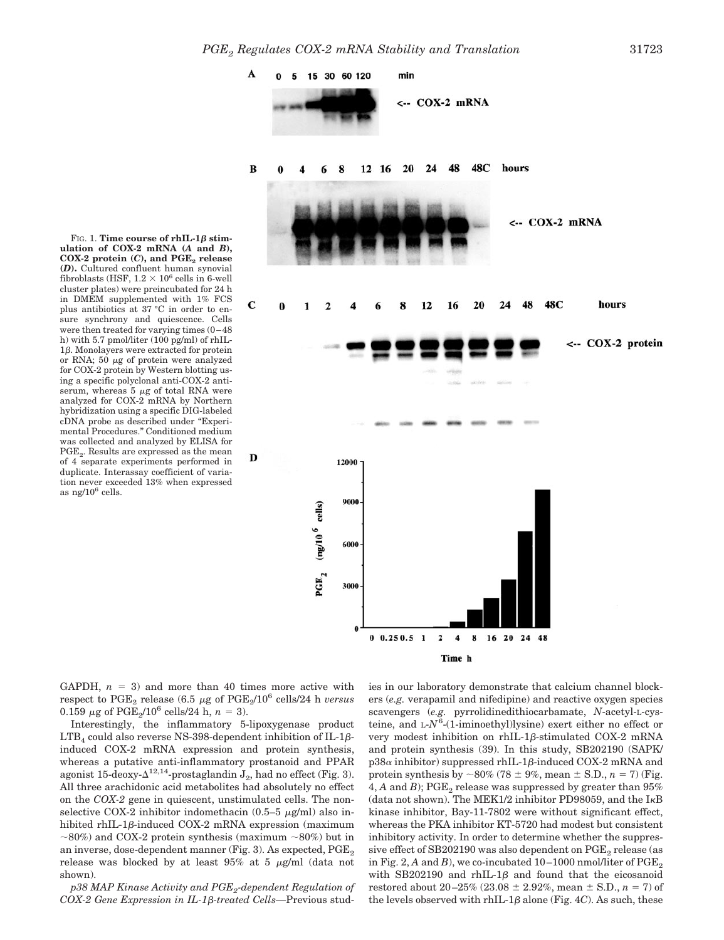A

 $\bf{B}$ 

C

D



Time h

**ulation of COX-2 mRNA (***A* **and** *B***), COX-2 protein (***C***), and PGE<sub>2</sub> release (***D***).** Cultured confluent human synovial fibroblasts (HSF,  $1.2 \times 10^6$  cells in 6-well cluster plates) were preincubated for 24 h in DMEM supplemented with 1% FCS plus antibiotics at 37 °C in order to ensure synchrony and quiescence. Cells were then treated for varying times (0–48 h) with 5.7 pmol/liter (100 pg/ml) of rhIL- $1\beta$ . Monolayers were extracted for protein or RNA; 50  $\mu$ g of protein were analyzed for COX-2 protein by Western blotting using a specific polyclonal anti-COX-2 antiserum, whereas  $5 \mu g$  of total RNA were analyzed for COX-2 mRNA by Northern hybridization using a specific DIG-labeled cDNA probe as described under "Experimental Procedures." Conditioned medium was collected and analyzed by ELISA for PGE. Results are expressed as the mean of 4 separate experiments performed in duplicate. Interassay coefficient of variation never exceeded 13% when expressed as ng/106 cells.

FIG. 1. Time course of  $rhIL-1\beta$  stim-

GAPDH,  $n = 3$ ) and more than 40 times more active with respect to  $PGE_2$  release (6.5  $\mu$ g of  $PGE_2/10^6$  cells/24 h *versus* 0.159  $\mu$ g of PGE<sub>2</sub>/10<sup>6</sup> cells/24 h,  $n = 3$ ).

Interestingly, the inflammatory 5-lipoxygenase product  $\text{LTB}_4$  could also reverse NS-398-dependent inhibition of IL-1 $\beta$ induced COX-2 mRNA expression and protein synthesis, whereas a putative anti-inflammatory prostanoid and PPAR agonist 15-deoxy- $\Delta^{12,14}$ -prostaglandin  $J_2$ , had no effect (Fig. 3). All three arachidonic acid metabolites had absolutely no effect on the *COX-2* gene in quiescent, unstimulated cells. The nonselective COX-2 inhibitor indomethacin  $(0.5-5 \mu g/ml)$  also inhibited rhIL-1 $\beta$ -induced COX-2 mRNA expression (maximum  $\sim$ 80%) and COX-2 protein synthesis (maximum  $\sim$ 80%) but in an inverse, dose-dependent manner (Fig. 3). As expected,  $PGE_2$ release was blocked by at least  $95\%$  at 5  $\mu$ g/ml (data not shown).

*p38 MAP Kinase Activity and PGE2-dependent Regulation of* COX-2 Gene Expression in IL-1β-treated Cells—Previous studies in our laboratory demonstrate that calcium channel blockers (*e.g.* verapamil and nifedipine) and reactive oxygen species scavengers (*e.g.* pyrrolidinedithiocarbamate, *N*-acetyl-L-cysteine, and L-N<sup>6</sup>-(1-iminoethyl)lysine) exert either no effect or very modest inhibition on rhIL-1 $\beta$ -stimulated COX-2 mRNA and protein synthesis (39). In this study, SB202190 (SAPK/  $p38\alpha$  inhibitor) suppressed rhIL-1 $\beta$ -induced COX-2 mRNA and protein synthesis by  $\sim 80\%$  (78  $\pm$  9%, mean  $\pm$  S.D., *n* = 7) (Fig. 4, A and  $B$ ); PGE<sub>2</sub> release was suppressed by greater than  $95\%$ (data not shown). The MEK1/2 inhibitor PD98059, and the  $I<sub>K</sub>B$ kinase inhibitor, Bay-11-7802 were without significant effect, whereas the PKA inhibitor KT-5720 had modest but consistent inhibitory activity. In order to determine whether the suppressive effect of  $SB202190$  was also dependent on  $PGE_2$  release (as in Fig. 2,  $A$  and  $B$ ), we co-incubated  $10-1000$  nmol/liter of PGE<sub>2</sub> with SB202190 and rhIL-1 $\beta$  and found that the eicosanoid restored about  $20-25\%$  ( $23.08 \pm 2.92\%$ , mean  $\pm$  S.D.,  $n = 7$ ) of the levels observed with rhIL-1 $\beta$  alone (Fig. 4*C*). As such, these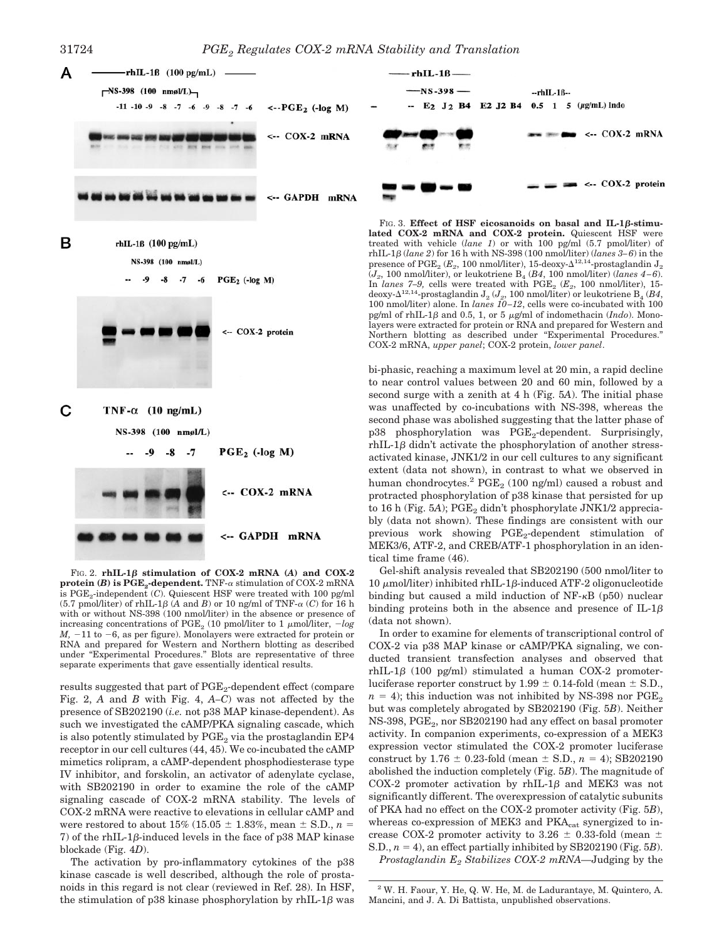C



NS-398 (100 nmsl/L)

 $-7$  $PGE_2$  (-log M)







FIG. 2.  $rhIL-1\beta$  stimulation of COX-2 mRNA (*A*) and COX-2 **protein (***B*) is  $PGE_2$ -dependent. TNF- $\alpha$  stimulation of COX-2 mRNA is  $PGE_2$ -independent  $(C)$ . Quiescent HSF were treated with 100 pg/ml  $(5.7 \text{ pmol/liter})$  of rhIL-1 $\beta$  (A and B) or 10 ng/ml of TNF- $\alpha$  (C) for 16 h with or without NS-398 (100 nmol/liter) in the absence or presence of increasing concentrations of PGE<sub>2</sub> (10 pmol/liter to 1  $\mu$ mol/liter, *-log*  $M$ ,  $-11$  to  $-6$ , as per figure). Monolayers were extracted for protein or RNA and prepared for Western and Northern blotting as described under "Experimental Procedures." Blots are representative of three separate experiments that gave essentially identical results.

results suggested that part of PGE<sub>2</sub>-dependent effect (compare Fig. 2, *A* and *B* with Fig. 4, *A–C*) was not affected by the presence of SB202190 (*i.e.* not p38 MAP kinase-dependent). As such we investigated the cAMP/PKA signaling cascade, which is also potently stimulated by  $PGE<sub>2</sub>$  via the prostaglandin EP4 receptor in our cell cultures (44, 45). We co-incubated the cAMP mimetics rolipram, a cAMP-dependent phosphodiesterase type IV inhibitor, and forskolin, an activator of adenylate cyclase, with SB202190 in order to examine the role of the cAMP signaling cascade of COX-2 mRNA stability. The levels of COX-2 mRNA were reactive to elevations in cellular cAMP and were restored to about  $15\%$  ( $15.05 \pm 1.83\%$ , mean  $\pm$  S.D.,  $n =$  $7$ ) of the rhIL-1 $\beta$ -induced levels in the face of p38 MAP kinase blockade (Fig. 4*D*).

The activation by pro-inflammatory cytokines of the p38 kinase cascade is well described, although the role of prostanoids in this regard is not clear (reviewed in Ref. 28). In HSF, the stimulation of p38 kinase phosphorylation by  $rhIL-1\beta$  was

 $\text{rhIL-1}\beta$  (*lane 2*) for 16 h with NS-398 (100 nmol/liter) (*lanes 3–6*) in the presence of  $\mathrm{PGE}_2$  ( $E_2$ , 100 nmol/liter), 15-deoxy- $\Delta^{12,14}$ -prostaglandin  $\mathrm{J}_2$  $(J_2, 100 \text{ nmol/liter})$ , or leukotriene  $B_4$  ( $B_4$ , 100 nmol/liter) (*lanes*  $4-6$ ). In *lanes 7–9*, cells were treated with  $PGE_2$  ( $E_2$ , 100 nmol/liter), 15deoxy- $\Delta^{12,14}$ -prostaglandin  ${\rm J}_{2}$  ( $J_{2}$ , 100 nmol/liter) or leukotriene  ${\rm B}_{4}$  ( $B4,$ 100 nmol/liter) alone. In *lanes 10–12*, cells were co-incubated with 100 pg/ml of rhIL-1 $\beta$  and 0.5, 1, or 5  $\mu$ g/ml of indomethacin (*Indo*). Monolayers were extracted for protein or RNA and prepared for Western and Northern blotting as described under "Experimental Procedures." COX-2 mRNA, *upper panel*; COX-2 protein, *lower panel*.

bi-phasic, reaching a maximum level at 20 min, a rapid decline to near control values between 20 and 60 min, followed by a second surge with a zenith at 4 h (Fig. 5*A*). The initial phase was unaffected by co-incubations with NS-398, whereas the second phase was abolished suggesting that the latter phase of p38 phosphorylation was PGE<sub>2</sub>-dependent. Surprisingly,  $rhIL-1\beta$  didn't activate the phosphorylation of another stressactivated kinase, JNK1/2 in our cell cultures to any significant extent (data not shown), in contrast to what we observed in human chondrocytes.<sup>2</sup> PGE<sub>2</sub> (100 ng/ml) caused a robust and protracted phosphorylation of p38 kinase that persisted for up to 16 h (Fig. 5A); PGE<sub>2</sub> didn't phosphorylate JNK1/2 appreciably (data not shown). These findings are consistent with our previous work showing PGE<sub>2</sub>-dependent stimulation of MEK3/6, ATF-2, and CREB/ATF-1 phosphorylation in an identical time frame (46).

Gel-shift analysis revealed that SB202190 (500 nmol/liter to  $10 \mu$ mol/liter) inhibited rhIL-1 $\beta$ -induced ATF-2 oligonucleotide binding but caused a mild induction of  $NF-\kappa B$  (p50) nuclear binding proteins both in the absence and presence of IL-1 $\beta$ (data not shown).

In order to examine for elements of transcriptional control of COX-2 via p38 MAP kinase or cAMP/PKA signaling, we conducted transient transfection analyses and observed that  $rhIL-1\beta$  (100 pg/ml) stimulated a human COX-2 promoterluciferase reporter construct by  $1.99 \pm 0.14$ -fold (mean  $\pm$  S.D.,  $n = 4$ ); this induction was not inhibited by NS-398 nor PGE<sub>2</sub>. but was completely abrogated by SB202190 (Fig. 5*B*). Neither NS-398, PGE<sub>2</sub>, nor SB202190 had any effect on basal promoter activity. In companion experiments, co-expression of a MEK3 expression vector stimulated the COX-2 promoter luciferase construct by  $1.76 \pm 0.23$ -fold (mean  $\pm$  S.D.,  $n = 4$ ); SB202190 abolished the induction completely (Fig. 5*B*). The magnitude of COX-2 promoter activation by rhIL-1 $\beta$  and MEK3 was not significantly different. The overexpression of catalytic subunits of PKA had no effect on the COX-2 promoter activity (Fig. 5*B*), whereas co-expression of MEK3 and  $PKA_{cat}$  synergized to increase COX-2 promoter activity to 3.26  $\pm$  0.33-fold (mean  $\pm$ S.D.,  $n = 4$ ), an effect partially inhibited by SB202190 (Fig. 5*B*). *Prostaglandin E2 Stabilizes COX-2 mRNA—*Judging by the

<sup>2</sup> W. H. Faour, Y. He, Q. W. He, M. de Ladurantaye, M. Quintero, A. Mancini, and J. A. Di Battista, unpublished observations.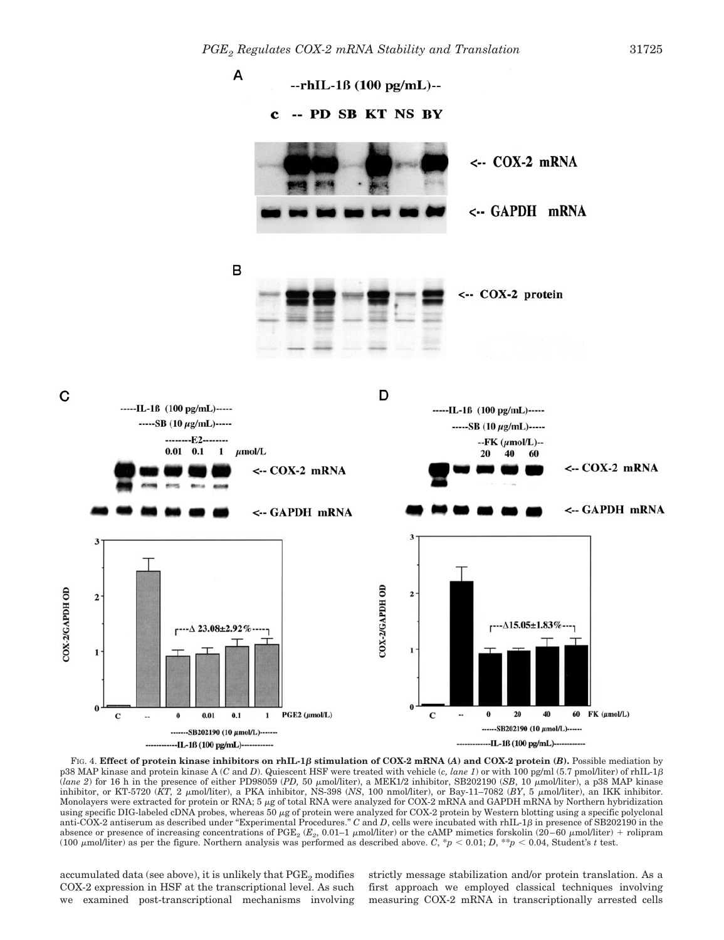

FIG. 4. **Effect of protein kinase inhibitors on rhIL-1** $\beta$  stimulation of COX-2 mRNA (*A*) and COX-2 protein (*B*). Possible mediation by p38 MAP kinase and protein kinase A (*C* and *D*). Quiescent HSF were treated with vehicle (*c, lane 1*) or with 100 pg/ml (5.7 pmol/liter) of rhIL-1 $\beta$ (*lane 2*) for 16 h in the presence of either PD98059 (PD, 50  $\mu$ mol/liter), a MEK1/2 inhibitor, SB202190 (*SB*, 10  $\mu$ mol/liter), a p38 MAP kinase inhibitor, or KT-5720 ( $\hat{K}T$ , 2  $\mu$ mol/liter), a PKA inhibitor, NS-398 (*NS*, 100 nmol/liter), or Bay-11–7082 ( $BY$ , 5  $\mu$ mol/liter), an IKK inhibitor. Monolayers were extracted for protein or RNA; 5 µg of total RNA were analyzed for COX-2 mRNA and GAPDH mRNA by Northern hybridization using specific DIG-labeled cDNA probes, whereas 50 µg of protein were analyzed for COX-2 protein by Western blotting using a specific polyclonal anti-COX-2 antiserum as described under "Experimental Procedures." C and D, cells were incubated with rhIL-1B in presence of SB202190 in the absence or presence of increasing concentrations of PGE<sub>2</sub> ( $E_2$ , 0.01–1  $\mu$ mol/liter) or the cAMP mimetics forskolin (20–60  $\mu$ mol/liter) + rolipram (100  $\mu$ mol/liter) as per the figure. Northern analysis was performed as described above. *C*, \**p* < 0.01; *D*, \*\**p* < 0.04, Student's *t* test.

accumulated data (see above), it is unlikely that  $PGE<sub>2</sub>$  modifies COX-2 expression in HSF at the transcriptional level. As such we examined post-transcriptional mechanisms involving

C

COX-2/GAPDH OD

strictly message stabilization and/or protein translation. As a first approach we employed classical techniques involving measuring COX-2 mRNA in transcriptionally arrested cells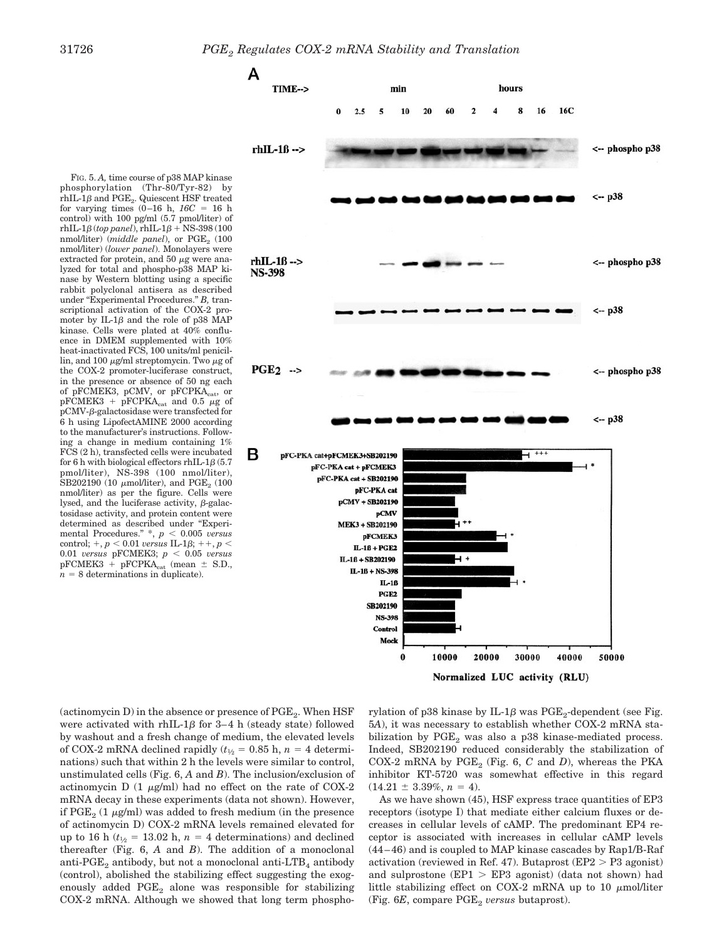

phosphorylation (Thr-80/Tyr-82) by  $\mathrm{rhIL}\text{-}1\beta$  and  $\mathrm{PGE}_2$ . Quiescent HSF treated for varying times  $(0-16 \text{ h}, 16C = 16 \text{ h})$ control) with 100 pg/ml (5.7 pmol/liter) of  $r$ hIL-1 $\beta$  (*top panel*), rhIL-1 $\beta$  + NS-398 (100 nmol/liter) (*middle panel*), or PGE<sub>2</sub> (100) nmol/liter) (*lower panel*). Monolayers were extracted for protein, and 50  $\mu$ g were analyzed for total and phospho-p38 MAP kinase by Western blotting using a specific rabbit polyclonal antisera as described under "Experimental Procedures." *B,* transcriptional activation of the COX-2 promoter by  $IL-1\beta$  and the role of p38 MAP kinase. Cells were plated at 40% confluence in DMEM supplemented with 10% heat-inactivated FCS, 100 units/ml penicillin, and 100  $\mu$ g/ml streptomycin. Two  $\mu$ g of the COX-2 promoter-luciferase construct, in the presence or absence of 50 ng each of pFCMEK3, pCMV, or pFCPKA<sub>cat</sub>, or  $pFCMEK3 + pFCPKA<sub>cat</sub>$  and 0.5  $\mu$ g of  $pCMV$ - $\beta$ -galactosidase were transfected for 6 h using LipofectAMINE 2000 according to the manufacturer's instructions. Following a change in medium containing 1% FCS (2 h), transfected cells were incubated for 6 h with biological effectors rhIL- $1\beta$  (5.7) pmol/liter), NS-398 (100 nmol/liter), SB202190 (10  $\mu$ mol/liter), and PGE<sub>2</sub> (100 nmol/liter) as per the figure. Cells were lysed, and the luciferase activity,  $\beta$ -galactosidase activity, and protein content were determined as described under "Experimental Procedures."  $*$ ,  $p$  < 0.005 *versus*  $control; +, p < 0.01 \text{ versus IL-1}\beta; ++, p <$  $0.01$  *versus* pFCMEK3;  $p < 0.05$  *versus* pFCMEK3 + pFCPKA $_{\rm cat}$  (mean  $\pm$  S.D.,  $n = 8$  determinations in duplicate).

FIG. 5. *A,* time course of p38 MAP kinase

(actinomycin D) in the absence or presence of  $PGE_2$ . When  $HSF$ were activated with  $rhIL-1\beta$  for 3-4 h (steady state) followed by washout and a fresh change of medium, the elevated levels of COX-2 mRNA declined rapidly  $(t_{1/2} = 0.85 \text{ h}, n = 4 \text{ determin-}$ nations) such that within 2 h the levels were similar to control, unstimulated cells (Fig. 6, *A* and *B*). The inclusion/exclusion of actinomycin D  $(1 \mu g/ml)$  had no effect on the rate of COX-2 mRNA decay in these experiments (data not shown). However, if  $PGE_2$  (1  $\mu$ g/ml) was added to fresh medium (in the presence of actinomycin D) COX-2 mRNA levels remained elevated for up to 16 h ( $t_{1/2}$  = 13.02 h,  $n = 4$  determinations) and declined thereafter (Fig. 6, *A* and *B*). The addition of a monoclonal anti-PGE<sub>2</sub> antibody, but not a monoclonal anti-LTB<sub>4</sub> antibody (control), abolished the stabilizing effect suggesting the exogenously added PGE<sub>2</sub> alone was responsible for stabilizing COX-2 mRNA. Although we showed that long term phospho-

rylation of p38 kinase by IL-1 $\beta$  was PGE<sub>2</sub>-dependent (see Fig. 5*A*), it was necessary to establish whether COX-2 mRNA stabilization by  $PGE_2$  was also a p38 kinase-mediated process. Indeed, SB202190 reduced considerably the stabilization of COX-2 mRNA by  $PGE_2$  (Fig. 6, *C* and *D*), whereas the PKA inhibitor KT-5720 was somewhat effective in this regard  $(14.21 \pm 3.39\%, n = 4)$ .

As we have shown (45), HSF express trace quantities of EP3 receptors (isotype I) that mediate either calcium fluxes or decreases in cellular levels of cAMP. The predominant EP4 receptor is associated with increases in cellular cAMP levels (44–46) and is coupled to MAP kinase cascades by Rap1/B-Raf activation (reviewed in Ref. 47). Butaprost (EP2 P3 agonist) and sulprostone (EP1 EP3 agonist) (data not shown) had little stabilizing effect on COX-2 mRNA up to 10  $\mu$ mol/liter (Fig. 6*E*, compare PGE<sub>2</sub> *versus* butaprost).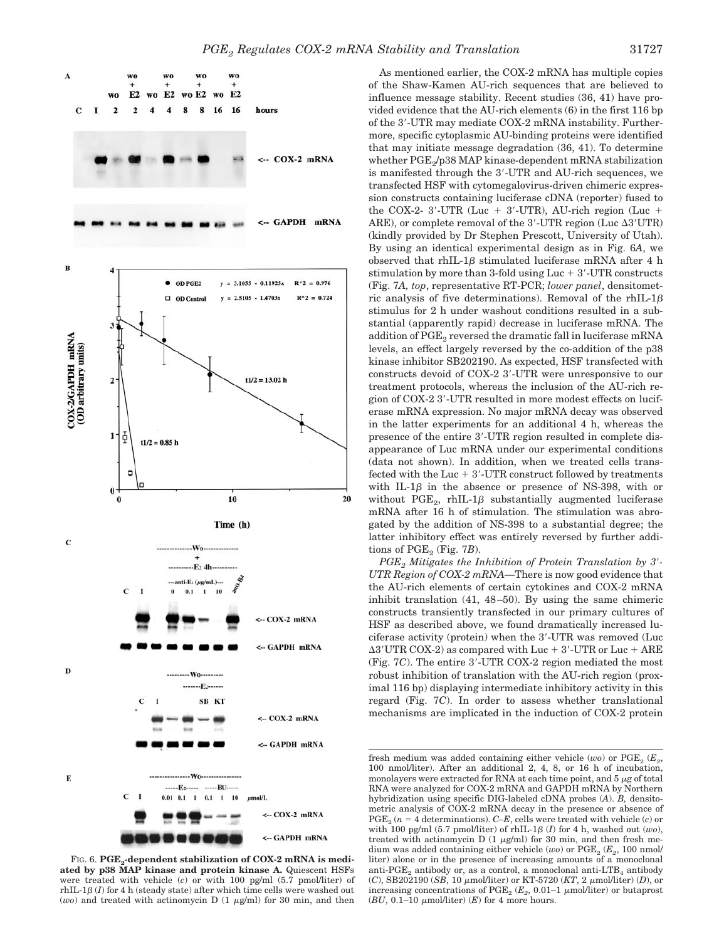

FIG. 6. PGE<sub>2</sub>-dependent stabilization of COX-2 mRNA is medi**ated by p38 MAP kinase and protein kinase A.** Quiescent HSFs were treated with vehicle (*c*) or with 100 pg/ml (5.7 pmol/liter) of  $\text{rhIL-1}\beta$  (*I*) for 4 h (steady state) after which time cells were washed out ( $wo$ ) and treated with actinomycin D (1  $\mu$ g/ml) for 30 min, and then

As mentioned earlier, the COX-2 mRNA has multiple copies of the Shaw-Kamen AU-rich sequences that are believed to influence message stability. Recent studies (36, 41) have provided evidence that the AU-rich elements (6) in the first 116 bp of the 3-UTR may mediate COX-2 mRNA instability. Furthermore, specific cytoplasmic AU-binding proteins were identified that may initiate message degradation (36, 41). To determine whether PGE<sub>2</sub>/p38 MAP kinase-dependent mRNA stabilization is manifested through the 3-UTR and AU-rich sequences, we transfected HSF with cytomegalovirus-driven chimeric expression constructs containing luciferase cDNA (reporter) fused to the COX-2- 3'-UTR (Luc + 3'-UTR), AU-rich region (Luc + ARE), or complete removal of the  $3'$ -UTR region (Luc  $\Delta 3' \mathrm{UTR}$ ) (kindly provided by Dr Stephen Prescott, University of Utah). By using an identical experimental design as in Fig. 6*A*, we observed that rhIL-1 $\beta$  stimulated luciferase mRNA after 4 h stimulation by more than 3-fold using  $Luc + 3'$ -UTR constructs (Fig. 7*A, top*, representative RT-PCR; *lower panel*, densitometric analysis of five determinations). Removal of the rhIL-1 $\beta$ stimulus for 2 h under washout conditions resulted in a substantial (apparently rapid) decrease in luciferase mRNA. The addition of  $\mathrm{PGE}_2$  reversed the dramatic fall in luciferase mRNA levels, an effect largely reversed by the co-addition of the p38 kinase inhibitor SB202190. As expected, HSF transfected with constructs devoid of COX-2 3-UTR were unresponsive to our treatment protocols, whereas the inclusion of the AU-rich region of COX-2 3-UTR resulted in more modest effects on luciferase mRNA expression. No major mRNA decay was observed in the latter experiments for an additional 4 h, whereas the presence of the entire 3-UTR region resulted in complete disappearance of Luc mRNA under our experimental conditions (data not shown). In addition, when we treated cells transfected with the Luc  $+3'$ -UTR construct followed by treatments with IL-1 $\beta$  in the absence or presence of NS-398, with or without  $\mathrm{PGE}_2$ , rhIL-1 $\beta$  substantially augmented luciferase mRNA after 16 h of stimulation. The stimulation was abrogated by the addition of NS-398 to a substantial degree; the latter inhibitory effect was entirely reversed by further additions of  $PGE_2$  (Fig. 7*B*).

*PGE2 Mitigates the Inhibition of Protein Translation by 3- UTR Region of COX-2 mRNA—*There is now good evidence that the AU-rich elements of certain cytokines and COX-2 mRNA inhibit translation (41, 48–50). By using the same chimeric constructs transiently transfected in our primary cultures of HSF as described above, we found dramatically increased luciferase activity (protein) when the 3-UTR was removed (Luc  $\Delta 3' \mathrm{UTR~COX\text{-}2}$ ) as compared with  $\mathrm{Luc} + 3' \text{-} \mathrm{UTR~or~} \mathrm{Luc} + \mathrm{ARE}$ (Fig. 7*C*). The entire 3-UTR COX-2 region mediated the most robust inhibition of translation with the AU-rich region (proximal 116 bp) displaying intermediate inhibitory activity in this regard (Fig. 7*C*). In order to assess whether translational mechanisms are implicated in the induction of COX-2 protein

fresh medium was added containing either vehicle  $(wo)$  or  $PGE_2$  ( $E_2$ , 100 nmol/liter). After an additional 2, 4, 8, or 16 h of incubation, monolayers were extracted for RNA at each time point, and  $5 \mu$ g of total RNA were analyzed for COX-2 mRNA and GAPDH mRNA by Northern hybridization using specific DIG-labeled cDNA probes (*A*). *B,* densitometric analysis of COX-2 mRNA decay in the presence or absence of  $PGE_2$  ( $n = 4$  determinations). *C–E*, cells were treated with vehicle (*c*) or with 100 pg/ml  $(5.7 \text{ pmol/liter})$  of rhIL-1 $\beta$  (*I*) for 4 h, washed out  $(wo)$ , treated with actinomycin D  $(1 \mu g/ml)$  for 30 min, and then fresh medium was added containing either vehicle ( $wo$ ) or  $PGE_2$  ( $E_2$ , 100 nmol/ liter) alone or in the presence of increasing amounts of a monoclonal anti-PGE<sub>2</sub> antibody or, as a control, a monoclonal anti-LTB<sub>4</sub> antibody  $(C)$ , SB202190 (*SB*, 10  $\mu$ mol/liter) or KT-5720 (*KT*, 2  $\mu$ mol/liter) (*D*), or increasing concentrations of  $PGE_2$  ( $E_2$ , 0.01–1  $\mu$ mol/liter) or butaprost  $(BU, 0.1-10 \text{ mmol/liter})$   $(E)$  for 4 more hours.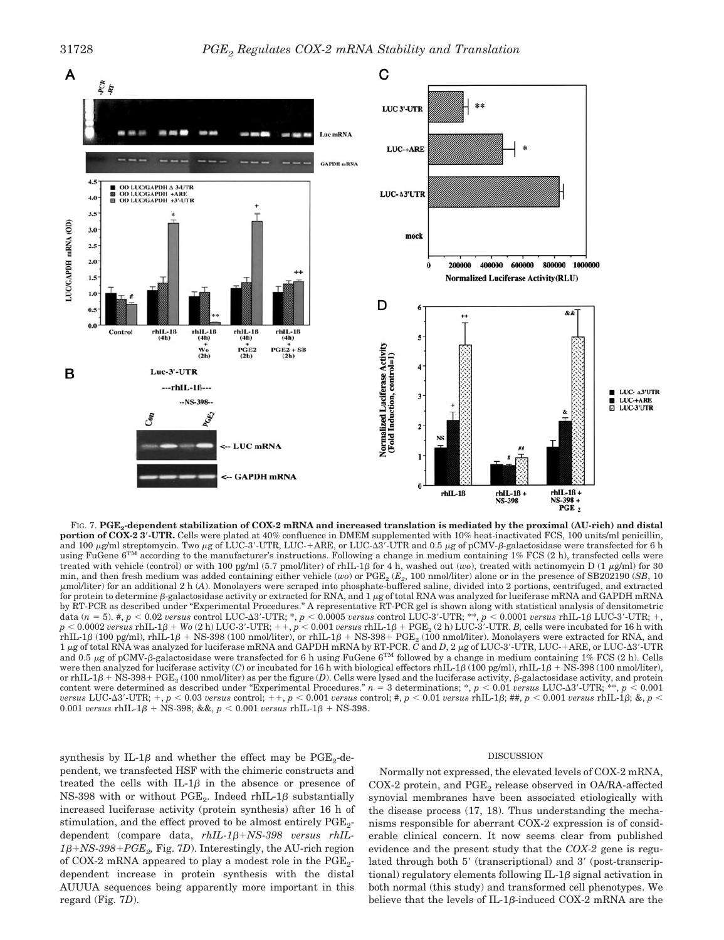

FIG. 7. **PGE2-dependent stabilization of COX-2 mRNA and increased translation is mediated by the proximal (AU-rich) and distal portion of COX-2 3-UTR.** Cells were plated at 40% confluence in DMEM supplemented with 10% heat-inactivated FCS, 100 units/ml penicillin, and 100  $\mu$ g/ml streptomycin. Two  $\mu$ g of LUC-3'-UTR, LUC-+ARE, or LUC- $\Delta$ 3'-UTR and 0.5  $\mu$ g of pCMV- $\beta$ -galactosidase were transfected for 6 h using FuGene  $6^{TM}$  according to the manufacturer's instructions. Following a change in medium containing  $1\%$  FCS (2 h), transfected cells were treated with vehicle (control) or with 100 pg/ml (5.7 pmol/liter) of rhIL-1 $\beta$  for 4 h, washed out (*wo*), treated with actinomycin D (1  $\mu$ g/ml) for 30 min, and then fresh medium was added containing either vehicle (*wo*) or PGE<sub>2</sub> (*E<sub>2</sub>*, 100 nmol/liter) alone or in the presence of SB202190 (*SB*, 10 mol/liter) for an additional2h(*A*). Monolayers were scraped into phosphate-buffered saline, divided into 2 portions, centrifuged, and extracted for protein to determine β-galactosidase activity or extracted for RNA, and 1  $\mu$ g of total RNA was analyzed for luciferase mRNA and GAPDH mRNA by RT-PCR as described under "Experimental Procedures." A representative RT-PCR gel is shown along with statistical analysis of densitometric data ( $n=5$ ). #,  $p < 0.02$  versus control LUC-A3'-UTR; \*,  $p < 0.0005$  versus control LUC-3'-UTR; \*\*,  $p < 0.0001$  versus rhIL-1 $\beta$  LUC-3'-UTR; +,  $p < 0.0002$  *versus* rhIL-1 $\beta$  + Wo (2 h) LUC-3′-UTR; ++,  $p < 0.001$  *versus* rhIL-1 $\beta$  + PGE<sub>2</sub> (2 h) LUC-3′-UTR. *B*, cells were incubated for 16 h with  $\mathrm{rhL}\text{-}1\beta$  (100 pg/ml),  $\mathrm{rhL}\text{-}1\beta+\mathrm{NS}\text{-}398$  (100 nmol/liter), or  $\mathrm{rhL}\text{-}1\beta+\mathrm{NS}\text{-}398+$  PGE<sub>2</sub> (100 nmol/liter). Monolayers were extracted for RNA, and 1 μg of total RNA was analyzed for luciferase mRNA and GAPDH mRNA by RT-PCR. *C* and *D*, 2 μg of LUC-3'-UTR, LUC-+ARE, or LUC-Δ3'-UTR and 0.5  $\mu$ g of pCMV- $\beta$ -galactosidase were transfected for 6 h using FuGene 6<sup>TM</sup> followed by a change in medium containing 1% FCS (2 h). Cells were then analyzed for luciferase activity (C) or incubated for 16 h with biological effectors rhIL-1 $\beta$  (100 pg/ml), rhIL-1 $\beta$  + NS-398 (100 nmol/liter), or rhIL-1 $\beta$  + NS-398+ PGE<sub>2</sub> (100 nmol/liter) as per the figure (*D*). Cells were lysed and the luciferase activity,  $\beta$ -galactosidase activity, and protein content were determined as described under "Experimental Procedures."  $n = 3$  determinations;  $*$ ,  $p < 0.01$  *versus* LUC- $\Delta 3'$ -UTR;  $^{**}$ ,  $p < 0.001$  $v$ ersus LUC-A3′-UTR; +,  $p < 0.03$  versus control; ++,  $p < 0.001$  versus control; #,  $p < 0.01$  versus rhIL-1 $\beta$ ; ##,  $p < 0.001$  versus rhIL-1 $\beta$ ; &,  $p <$  $0.001$  *versus* rhIL-1 $\beta$  + NS-398; &&,  $p < 0.001$  *versus* rhIL-1 $\beta$  + NS-398.

synthesis by IL-1 $\beta$  and whether the effect may be PGE<sub>2</sub>-dependent, we transfected HSF with the chimeric constructs and treated the cells with IL-1 $\beta$  in the absence or presence of  $NS-398$  with or without  $PGE_2$ . Indeed rhIL-1 $\beta$  substantially increased luciferase activity (protein synthesis) after 16 h of stimulation, and the effect proved to be almost entirely  $PGE_2$ dependent (compare data,  $rhIL-1\beta + NS-398$  versus  $rhIL-1\beta + NS-398$  $1\beta + NS - 398 + PGE_2$ , Fig. 7*D*). Interestingly, the AU-rich region of COX-2 mRNA appeared to play a modest role in the  $PGE_2$ dependent increase in protein synthesis with the distal AUUUA sequences being apparently more important in this regard (Fig. 7*D*).

#### DISCUSSION

Normally not expressed, the elevated levels of COX-2 mRNA, COX-2 protein, and  $PGE_2$  release observed in OA/RA-affected synovial membranes have been associated etiologically with the disease process (17, 18). Thus understanding the mechanisms responsible for aberrant COX-2 expression is of considerable clinical concern. It now seems clear from published evidence and the present study that the *COX-2* gene is regulated through both  $5'$  (transcriptional) and  $3'$  (post-transcriptional) regulatory elements following  $IL-1\beta$  signal activation in both normal (this study) and transformed cell phenotypes. We believe that the levels of IL-1 $\beta$ -induced COX-2 mRNA are the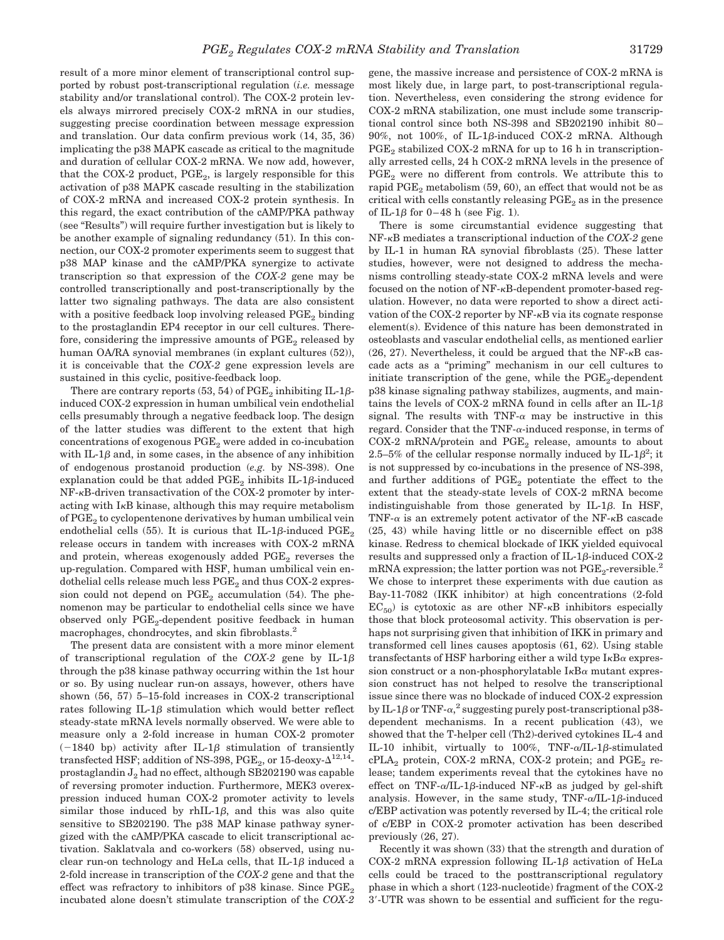result of a more minor element of transcriptional control supported by robust post-transcriptional regulation (*i.e.* message stability and/or translational control). The COX-2 protein levels always mirrored precisely COX-2 mRNA in our studies, suggesting precise coordination between message expression and translation. Our data confirm previous work (14, 35, 36) implicating the p38 MAPK cascade as critical to the magnitude and duration of cellular COX-2 mRNA. We now add, however, that the COX-2 product,  $PGE_2$ , is largely responsible for this activation of p38 MAPK cascade resulting in the stabilization of COX-2 mRNA and increased COX-2 protein synthesis. In this regard, the exact contribution of the cAMP/PKA pathway (see "Results") will require further investigation but is likely to be another example of signaling redundancy (51). In this connection, our COX-2 promoter experiments seem to suggest that p38 MAP kinase and the cAMP/PKA synergize to activate transcription so that expression of the *COX-2* gene may be controlled transcriptionally and post-transcriptionally by the latter two signaling pathways. The data are also consistent with a positive feedback loop involving released  $PGE_2$  binding to the prostaglandin EP4 receptor in our cell cultures. Therefore, considering the impressive amounts of  $PGE_2$  released by human OA/RA synovial membranes (in explant cultures (52)), it is conceivable that the *COX-2* gene expression levels are sustained in this cyclic, positive-feedback loop.

There are contrary reports (53, 54) of  $\mathrm{PGE}_2$  inhibiting IL-1 $\beta$ induced COX-2 expression in human umbilical vein endothelial cells presumably through a negative feedback loop. The design of the latter studies was different to the extent that high concentrations of exogenous PGE<sub>2</sub> were added in co-incubation with IL-1 $\beta$  and, in some cases, in the absence of any inhibition of endogenous prostanoid production (*e.g.* by NS-398). One explanation could be that added  $\mathrm{PGE}_2$  inhibits IL-1 $\beta$ -induced  $NF-<sub>K</sub>B$ -driven transactivation of the COX-2 promoter by interacting with  $I<sub>\kappa</sub>B$  kinase, although this may require metabolism of  $PGE<sub>2</sub>$  to cyclopentenone derivatives by human umbilical vein endothelial cells (55). It is curious that IL-1 $\beta$ -induced  $\mathrm{PGE}_2$ release occurs in tandem with increases with COX-2 mRNA and protein, whereas exogenously added  $PGE<sub>2</sub>$  reverses the up-regulation. Compared with HSF, human umbilical vein endothelial cells release much less  $PGE_2$  and thus COX-2 expression could not depend on  $PGE_2$  accumulation (54). The phenomenon may be particular to endothelial cells since we have observed only PGE<sub>2</sub>-dependent positive feedback in human macrophages, chondrocytes, and skin fibroblasts.2

The present data are consistent with a more minor element of transcriptional regulation of the  $COX-2$  gene by IL-1 $\beta$ through the p38 kinase pathway occurring within the 1st hour or so. By using nuclear run-on assays, however, others have shown (56, 57) 5–15-fold increases in COX-2 transcriptional rates following IL-1 $\beta$  stimulation which would better reflect steady-state mRNA levels normally observed. We were able to measure only a 2-fold increase in human COX-2 promoter  $(-1840)$  bp) activity after IL-1 $\beta$  stimulation of transiently transfected HSF; addition of NS-398, PGE<sub>2</sub>, or 15-deoxy- $\Delta^{12,14}$ prostaglandin  $J_2$  had no effect, although SB202190 was capable of reversing promoter induction. Furthermore, MEK3 overexpression induced human COX-2 promoter activity to levels similar those induced by  $rhIL-1\beta$ , and this was also quite sensitive to SB202190. The p38 MAP kinase pathway synergized with the cAMP/PKA cascade to elicit transcriptional activation. Saklatvala and co-workers (58) observed, using nuclear run-on technology and HeLa cells, that  $IL-1\beta$  induced a 2-fold increase in transcription of the *COX-2* gene and that the effect was refractory to inhibitors of p38 kinase. Since PGE<sub>2</sub> incubated alone doesn't stimulate transcription of the *COX-2*

gene, the massive increase and persistence of COX-2 mRNA is most likely due, in large part, to post-transcriptional regulation. Nevertheless, even considering the strong evidence for COX-2 mRNA stabilization, one must include some transcriptional control since both NS-398 and SB202190 inhibit 80–  $90\%$ , not  $100\%$ , of IL-1 $\beta$ -induced COX-2 mRNA. Although  $PGE<sub>2</sub>$  stabilized COX-2 mRNA for up to 16 h in transcriptionally arrested cells, 24 h COX-2 mRNA levels in the presence of  $PGE<sub>2</sub>$  were no different from controls. We attribute this to rapid  $PGE_2$  metabolism (59, 60), an effect that would not be as critical with cells constantly releasing  $PGE<sub>2</sub>$  as in the presence of IL-1 $\beta$  for 0-48 h (see Fig. 1).

There is some circumstantial evidence suggesting that NF- $\kappa$ B mediates a transcriptional induction of the *COX-2* gene by IL-1 in human RA synovial fibroblasts (25). These latter studies, however, were not designed to address the mechanisms controlling steady-state COX-2 mRNA levels and were focused on the notion of  $NF-\kappa B$ -dependent promoter-based regulation. However, no data were reported to show a direct activation of the COX-2 reporter by  $NF-\kappa B$  via its cognate response element(s). Evidence of this nature has been demonstrated in osteoblasts and vascular endothelial cells, as mentioned earlier  $(26, 27)$ . Nevertheless, it could be argued that the NF- $\kappa$ B cascade acts as a "priming" mechanism in our cell cultures to initiate transcription of the gene, while the  $PGE_2$ -dependent p38 kinase signaling pathway stabilizes, augments, and maintains the levels of COX-2 mRNA found in cells after an IL-1 $\beta$ signal. The results with TNF- $\alpha$  may be instructive in this regard. Consider that the TNF- $\alpha$ -induced response, in terms of  $COX-2$  mRNA/protein and  $PGE_2$  release, amounts to about 2.5–5% of the cellular response normally induced by IL-1 $\beta^2$ ; it is not suppressed by co-incubations in the presence of NS-398, and further additions of  $PGE_2$  potentiate the effect to the extent that the steady-state levels of COX-2 mRNA become indistinguishable from those generated by  $IL-1\beta$ . In HSF, TNF- $\alpha$  is an extremely potent activator of the NF- $\kappa$ B cascade (25, 43) while having little or no discernible effect on p38 kinase. Redress to chemical blockade of IKK yielded equivocal results and suppressed only a fraction of IL-1 $\beta$ -induced COX-2 mRNA expression; the latter portion was not  $PGE_2$ -reversible.<sup>2</sup> We chose to interpret these experiments with due caution as Bay-11-7082 (IKK inhibitor) at high concentrations (2-fold  $EC_{50}$ ) is cytotoxic as are other NF- $\kappa$ B inhibitors especially those that block proteosomal activity. This observation is perhaps not surprising given that inhibition of IKK in primary and transformed cell lines causes apoptosis (61, 62). Using stable transfectants of HSF harboring either a wild type  $I_{\kappa}B_{\alpha}$  expression construct or a non-phosphorylatable  $I_{\kappa}B_{\alpha}$  mutant expression construct has not helped to resolve the transcriptional issue since there was no blockade of induced COX-2 expression by IL-1 $\beta$  or TNF- $\alpha$ <sup>2</sup> suggesting purely post-transcriptional p38dependent mechanisms. In a recent publication (43), we showed that the T-helper cell (Th2)-derived cytokines IL-4 and IL-10 inhibit, virtually to 100%,  $TNF-\alpha/IL-1\beta$ -stimulated  $cPLA_2$  protein, COX-2 mRNA, COX-2 protein; and  $PGE_2$  release; tandem experiments reveal that the cytokines have no effect on TNF- $\alpha$ /IL-1 $\beta$ -induced NF- $\kappa$ B as judged by gel-shift analysis. However, in the same study,  $\text{TNF-}\alpha/\text{IL-1}\beta\text{-induced}$ c/EBP activation was potently reversed by IL-4; the critical role of c/EBP in COX-2 promoter activation has been described previously (26, 27).

Recently it was shown (33) that the strength and duration of COX-2 mRNA expression following IL-1 $\beta$  activation of HeLa cells could be traced to the posttranscriptional regulatory phase in which a short (123-nucleotide) fragment of the COX-2 3-UTR was shown to be essential and sufficient for the regu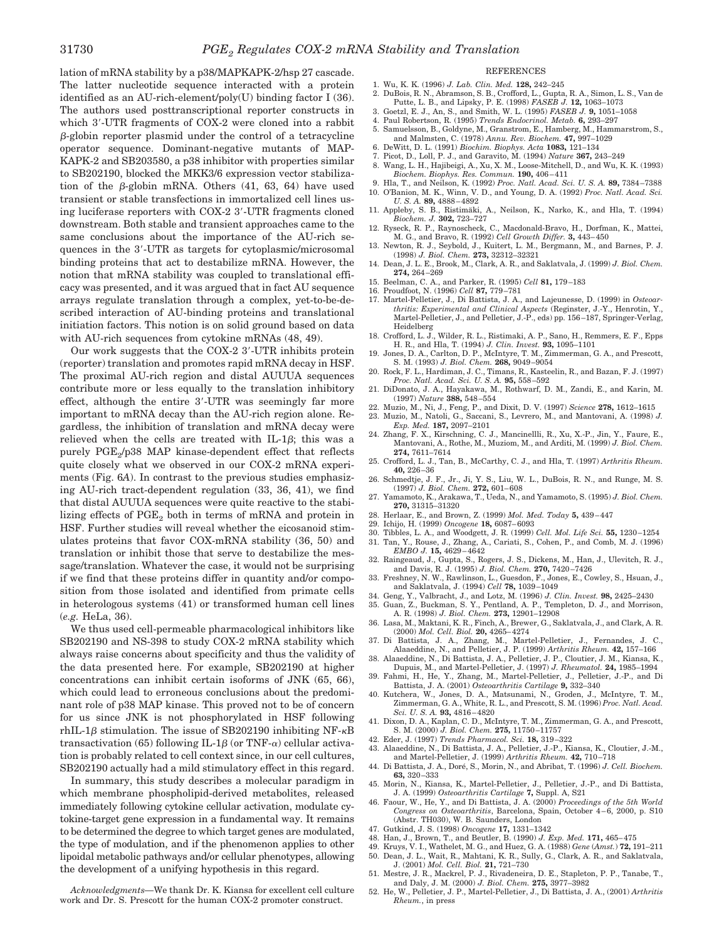lation of mRNA stability by a p38/MAPKAPK-2/hsp 27 cascade. The latter nucleotide sequence interacted with a protein identified as an AU-rich-element/poly(U) binding factor I (36). The authors used posttranscriptional reporter constructs in which 3-UTR fragments of COX-2 were cloned into a rabbit  $\beta$ -globin reporter plasmid under the control of a tetracycline operator sequence. Dominant-negative mutants of MAP-KAPK-2 and SB203580, a p38 inhibitor with properties similar to SB202190, blocked the MKK3/6 expression vector stabilization of the  $\beta$ -globin mRNA. Others (41, 63, 64) have used transient or stable transfections in immortalized cell lines using luciferase reporters with COX-2 3-UTR fragments cloned downstream. Both stable and transient approaches came to the same conclusions about the importance of the AU-rich sequences in the 3-UTR as targets for cytoplasmic/microsomal binding proteins that act to destabilize mRNA. However, the notion that mRNA stability was coupled to translational efficacy was presented, and it was argued that in fact AU sequence arrays regulate translation through a complex, yet-to-be-described interaction of AU-binding proteins and translational initiation factors. This notion is on solid ground based on data with AU-rich sequences from cytokine mRNAs (48, 49).

Our work suggests that the COX-2 3-UTR inhibits protein (reporter) translation and promotes rapid mRNA decay in HSF. The proximal AU-rich region and distal AUUUA sequences contribute more or less equally to the translation inhibitory effect, although the entire 3-UTR was seemingly far more important to mRNA decay than the AU-rich region alone. Regardless, the inhibition of translation and mRNA decay were relieved when the cells are treated with IL-1 $\beta$ ; this was a purely PGE<sub>2</sub>/p38 MAP kinase-dependent effect that reflects quite closely what we observed in our COX-2 mRNA experiments (Fig. 6*A*). In contrast to the previous studies emphasizing AU-rich tract-dependent regulation (33, 36, 41), we find that distal AUUUA sequences were quite reactive to the stabilizing effects of  $PGE_2$  both in terms of mRNA and protein in HSF. Further studies will reveal whether the eicosanoid stimulates proteins that favor COX-mRNA stability (36, 50) and translation or inhibit those that serve to destabilize the message/translation. Whatever the case, it would not be surprising if we find that these proteins differ in quantity and/or composition from those isolated and identified from primate cells in heterologous systems (41) or transformed human cell lines (*e.g.* HeLa, 36).

We thus used cell-permeable pharmacological inhibitors like SB202190 and NS-398 to study COX-2 mRNA stability which always raise concerns about specificity and thus the validity of the data presented here. For example, SB202190 at higher concentrations can inhibit certain isoforms of JNK (65, 66), which could lead to erroneous conclusions about the predominant role of p38 MAP kinase. This proved not to be of concern for us since JNK is not phosphorylated in HSF following rhIL-1 $\beta$  stimulation. The issue of SB202190 inhibiting NF- $\kappa$ B transactivation (65) following IL-1 $\beta$  (or TNF- $\alpha$ ) cellular activation is probably related to cell context since, in our cell cultures, SB202190 actually had a mild stimulatory effect in this regard.

In summary, this study describes a molecular paradigm in which membrane phospholipid-derived metabolites, released immediately following cytokine cellular activation, modulate cytokine-target gene expression in a fundamental way. It remains to be determined the degree to which target genes are modulated, the type of modulation, and if the phenomenon applies to other lipoidal metabolic pathways and/or cellular phenotypes, allowing the development of a unifying hypothesis in this regard.

*Acknowledgments—*We thank Dr. K. Kiansa for excellent cell culture work and Dr. S. Prescott for the human COX-2 promoter construct.

## REFERENCES

- 1. Wu, K. K. (1996) *J. Lab. Clin. Med.* **128,** 242–245
- 2. DuBois, R. N., Abramson, S. B., Crofford, L., Gupta, R. A., Simon, L. S., Van de Putte, L. B., and Lipsky, P. E. (1998) *FASEB J.* **12,** 1063–1073 3. Goetzl, E. J., An, S., and Smith, W. L. (1995) *FASEB J.* **9,** 1051–1058
- 4. Paul Robertson, R. (1995) *Trends Endocrinol. Metab.* **6,** 293–297
- 5. Samuelsson, B., Goldyne, M., Granstrom, E., Hamberg, M., Hammarstrom, S., and Malmsten, C. (1978) *Annu. Rev. Biochem.* **47,** 997–1029
- 6. DeWitt, D. L. (1991) *Biochim. Biophys. Acta* **1083,** 121–134
- 7. Picot, D., Loll, P. J., and Garavito, M. (1994) *Nature* **367,** 243–249 8. Wang, L. H., Hajibeigi, A., Xu, X. M., Loose-Mitchell, D., and Wu, K. K. (1993) *Biochem. Biophys. Res. Commun.* **190,** 406–411
- 9. Hla, T., and Neilson, K. (1992) *Proc. Natl. Acad. Sci. U. S. A.* **89,** 7384–7388 10. O'Banion, M. K., Winn, V. D., and Young, D. A. (1992) *Proc. Natl. Acad. Sci.*
- *U. S. A.* **89,** 4888–4892 11. Appleby, S. B., Ristimäki, A., Neilson, K., Narko, K., and Hla, T. (1994)
- *Biochem. J.* **302,** 723–727 12. Ryseck, R. P., Raynoscheck, C., Macdonald-Bravo, H., Dorfman, K., Mattei,
- M. G., and Bravo, R. (1992) *Cell Growth Differ.* **3,** 443–450
- 13. Newton, R. J., Seybold, J., Kuitert, L. M., Bergmann, M., and Barnes, P. J. (1998) *J. Biol. Chem.* **273,** 32312–32321
- 14. Dean, J. L. E., Brook, M., Clark, A. R., and Saklatvala, J. (1999) *J. Biol. Chem.* **274,** 264–269
- 15. Beelman, C. A., and Parker, R. (1995) *Cell* **81,** 179–183
- 16. Proudfoot, N. (1996) *Cell* **87,** 779–781
- 17. Martel-Pelletier, J., Di Battista, J. A., and Lajeunesse, D. (1999) in *Osteoarthritis: Experimental and Clinical Aspects* (Reginster, J.-Y., Henrotin, Y., Martel-Pelletier, J., and Pelletier, J.-P., eds) pp. 156–187, Springer-Verlag,
- Heidelberg 18. Crofford, L. J., Wilder, R. L., Ristimaki, A. P., Sano, H., Remmers, E. F., Epps H. R., and Hla, T. (1994) *J. Clin. Invest.* **93,** 1095–1101
- 19. Jones, D. A., Carlton, D. P., McIntyre, T. M., Zimmerman, G. A., and Prescott, S. M. (1993) *J. Biol. Chem.* **268,** 9049–9054
- 20. Rock, F. L., Hardiman, J. C., Timans, R., Kasteelin, R., and Bazan, F. J. (1997) *Proc. Natl. Acad. Sci. U. S. A.* **95,** 558–592
- 21. DiDonato, J. A., Hayakawa, M., Rothwarf, D. M., Zandi, E., and Karin, M. (1997) *Nature* **388,** 548–554
- 22. Muzio, M., Ni, J., Feng, P., and Dixit, D. V. (1997) *Science* **278,** 1612–1615 23. Muzio, M., Natoli, G., Saccani, S., Levrero, M., and Mantovani, A. (1998) *J. Exp. Med.* **187,** 2097–2101
- 24. Zhang, F. X., Kirschning, C. J., Mancinellli, R., Xu, X.-P., Jin, Y., Faure, E., Mantovani, A., Rothe, M., Muziom, M., and Arditi, M. (1999) *J. Biol. Chem.* **274,** 7611–7614
- 25. Crofford, L. J., Tan, B., McCarthy, C. J., and Hla, T. (1997) *Arthritis Rheum.* **40,** 226–36
- 26. Schmedtje, J. F., Jr., Ji, Y. S., Liu, W. L., DuBois, R. N., and Runge, M. S. (1997) *J. Biol. Chem.* **272,** 601–608
- 27. Yamamoto, K., Arakawa, T., Ueda, N., and Yamamoto, S. (1995) *J. Biol. Chem.* **270,** 31315–31320
- 28. Herlaar, E., and Brown, Z. (1999) *Mol. Med. Today* **5,** 439–447
- 29. Ichijo, H. (1999) *Oncogene* **18,** 6087–6093
- 30. Tibbles, L. A., and Woodgett, J. R. (1999) *Cell. Mol. Life Sci.* **55,** 1230–1254 31. Tan, Y., Rouse, J., Zhang, A., Cariati, S., Cohen, P., and Comb, M. J. (1996)
- *EMBO J.* **15,** 4629–4642 32. Raingeaud, J., Gupta, S., Rogers, J. S., Dickens, M., Han, J., Ulevitch, R. J.,
- and Davis, R. J. (1995) *J. Biol. Chem.* **270,** 7420–7426 33. Freshney, N. W., Rawlinson, L., Guesdon, F., Jones, E., Cowley, S., Hsuan, J., and Saklatvala, J. (1994) *Cell* **78,** 1039–1049
- 34. Geng, Y., Valbracht, J., and Lotz, M. (1996) *J. Clin. Invest.* **98,** 2425–2430
- 35. Guan, Z., Buckman, S. Y., Pentland, A. P., Templeton, D. J., and Morrison, A. R. (1998) *J. Biol. Chem.* **273,** 12901–12908
- 36. Lasa, M., Maktani, K. R., Finch, A., Brewer, G., Saklatvala, J., and Clark, A. R. (2000) *Mol. Cell. Biol.* **20,** 4265–4274
- 37. Di Battista, J. A., Zhang, M., Martel-Pelletier, J., Fernandes, J. C., Alaaeddine, N., and Pelletier, J. P. (1999) *Arthritis Rheum.* **42,** 157–166
- 38. Alaaeddine, N., Di Battista, J. A., Pelletier, J. P., Cloutier, J. M., Kiansa, K., Dupuis, M., and Martel-Pelletier, J. (1997) *J. Rheumatol.* **24,** 1985–1994
- 39. Fahmi, H., He, Y., Zhang, M., Martel-Pelletier, J., Pelletier, J.-P., and Di Battista, J. A. (2001) *Osteoarthritis Cartilage* **9,** 332–340
- 40. Kutchera, W., Jones, D. A., Matsunami, N., Groden, J., McIntyre, T. M., Zimmerman, G. A., White, R. L., and Prescott, S. M. (1996) *Proc. Natl. Acad. Sci. U. S. A.* **93,** 4816–4820
- 41. Dixon, D. A., Kaplan, C. D., McIntyre, T. M., Zimmerman, G. A., and Prescott, S. M. (2000) *J. Biol. Chem.* **275,** 11750–11757
- 42. Eder, J. (1997) *Trends Pharmacol. Sci.* **18,** 319–322 43. Alaaeddine, N., Di Battista, J. A., Pelletier, J.-P., Kiansa, K., Cloutier, J.-M.,
- and Martel-Pelletier, J. (1999) *Arthritis Rheum.* **42,** 710–718 44. Di Battista, J. A., Dore´, S., Morin, N., and Abribat, T. (1996) *J. Cell. Biochem.* **63,** 320–333
- 45. Morin, N., Kiansa, K., Martel-Pelletier, J., Pelletier, J.-P., and Di Battista, J. A. (1999) *Osteoarthritis Cartilage* **7,** Suppl. A, S21
- 46. Faour, W., He, Y., and Di Battista, J. A. (2000) *Proceedings of the 5th World Congress on Osteoarthritis*, Barcelona, Spain, October 4–6, 2000, p. S10 (Abstr. TH030), W. B. Saunders, London
- 47. Gutkind, J. S. (1998) *Oncogene* **17,** 1331–1342
- 48. Han, J., Brown, T., and Beutler, B. (1990) *J. Exp. Med.* **171,** 465–475
- 49. Kruys, V. I., Wathelet, M. G., and Huez, G. A. (1988) *Gene* (*Amst.*) **72,** 191–211 50. Dean, J. L., Wait, R., Mahtani, K. R., Sully, G., Clark, A. R., and Saklatvala,
- J. (2001) *Mol. Cell. Biol.* **21,** 721–730
- 51. Mestre, J. R., Mackrel, P. J., Rivadeneira, D. E., Stapleton, P. P., Tanabe, T., and Daly, J. M. (2000) *J. Biol. Chem.* **275,** 3977–3982
- 52. He, W., Pelletier, J. P., Martel-Pelletier, J., Di Battista, J. A., (2001) *Arthritis Rheum.*, in press